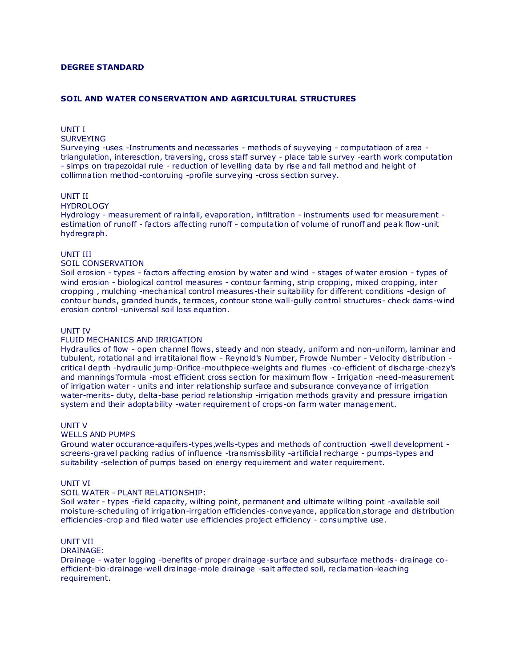## **DEGREE STANDARD**

#### **SOIL AND WATER CONSERVATION AND AGRICULTURAL STRUCTURES**

## UNIT I

SURVEYING

Surveying -uses -Instruments and necessaries - methods of suyveying - computatiaon of area triangulation, interesction, traversing, cross staff survey - place table survey -earth work computation - simps on trapezoidal rule - reduction of levelling data by rise and fall method and height of collimnation method-contoruing -profile surveying -cross section survey.

## UNIT II

## HYDROLOGY

Hydrology - measurement of rainfall, evaporation, infiltration - instruments used for measurement estimation of runoff - factors affecting runoff - computation of volume of runoff and peak flow -unit hydregraph.

#### UNIT III

## SOIL CONSERVATION

Soil erosion - types - factors affecting erosion by water and wind - stages of water erosion - types of wind erosion - biological control measures - contour farming, strip cropping, mixed cropping, inter cropping , mulching -mechanical control measures-their suitability for different conditions -design of contour bunds, granded bunds, terraces, contour stone wall-gully control structures- check dams-wind erosion control -universal soil loss equation.

## UNIT IV

#### FLUID MECHANICS AND IRRIGATION

Hydraulics of flow - open channel flows, steady and non steady, uniform and non-uniform, laminar and tubulent, rotational and irratitaional flow - Reynold's Number, Frowde Number - Velocity distribution critical depth -hydraulic jump-Orifice-mouthpiece-weights and flumes -co-efficient of discharge-chezy's and mannings'formula -most efficient cross section for maximum flow - Irrigation -need-measurement of irrigation water - units and inter relationship surface and subsurance conveyance of irrigation water-merits- duty, delta-base period relationship -irrigation methods gravity and pressure irrigation system and their adoptability -water requirement of crops-on farm water management.

#### UNIT V

## WELLS AND PUMPS

Ground water occurance-aquifers-types,wells-types and methods of contruction -swell development screens-gravel packing radius of influence -transmissibility -artificial recharge - pumps-types and suitability -selection of pumps based on energy requirement and water requirement.

## UNIT VI

## SOIL WATER - PLANT RELATIONSHIP:

Soil water - types -field capacity, wilting point, permanent and ultimate wilting point -available soil moisture-scheduling of irrigation-irrgation efficiencies-conveyance, application,storage and distribution efficiencies-crop and filed water use efficiencies project efficiency - consumptive use.

# UNIT VII

## DRAINAGE:

Drainage - water logging -benefits of proper drainage-surface and subsurface methods- drainage coefficient-bio-drainage-well drainage-mole drainage -salt affected soil, reclamation-leaching requirement.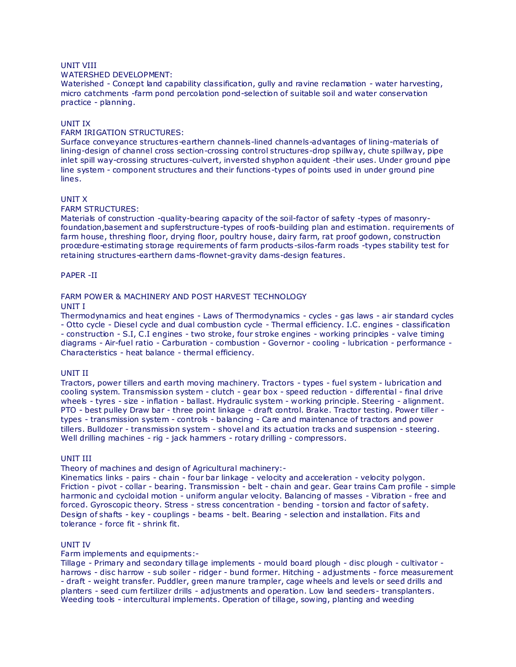## UNIT VIII

#### WATERSHED DEVELOPMENT:

Waterished - Concept land capability classification, gully and ravine reclamation - water harvesting, micro catchments -farm pond percolation pond-selection of suitable soil and water conservation practice - planning.

## UNIT IX

## FARM IRIGATION STRUCTURES:

Surface conveyance structures-earthern channels-lined channels-advantages of lining-materials of lining-design of channel cross section-crossing control structures-drop spillway, chute spillway, pipe inlet spill way-crossing structures-culvert, inversted shyphon aquident -their uses. Under ground pipe line system - component structures and their functions-types of points used in under ground pine lines.

## UNIT X

#### FARM STRUCTURES:

Materials of construction -quality-bearing capacity of the soil-factor of safety -types of masonryfoundation,basement and supferstructure-types of roofs-building plan and estimation. requirements of farm house, threshing floor, drying floor, poultry house, dairy farm, rat proof godown, construction procedure-estimating storage requirements of farm products-silos-farm roads -types stability test for retaining structures-earthern dams-flownet-gravity dams-design features.

#### PAPER -II

# FARM POWER & MACHINERY AND POST HARVEST TECHNOLOGY

# UNIT I

Thermodynamics and heat engines - Laws of Thermodynamics - cycles - gas laws - air standard cycles - Otto cycle - Diesel cycle and dual combustion cycle - Thermal efficiency. I.C. engines - classification - construction - S.I, C.I engines - two stroke, four stroke engines - working principles - valve timing diagrams - Air-fuel ratio - Carburation - combustion - Governor - cooling - lubrication - performance - Characteristics - heat balance - thermal efficiency.

#### UNIT II

Tractors, power tillers and earth moving machinery. Tractors - types - fuel system - lubrication and cooling system. Transmission system - clutch - gear box - speed reduction - differential - final drive wheels - tyres - size - inflation - ballast. Hydraulic system - working principle. Steering - alignment. PTO - best pulley Draw bar - three point linkage - draft control. Brake. Tractor testing. Power tiller types - transmission system - controls - balancing - Care and maintenance of tractors and power tillers. Bulldozer - transmission system - shovel and its actuation tracks and suspension - steering. Well drilling machines - rig - jack hammers - rotary drilling - compressors.

## UNIT III

#### Theory of machines and design of Agricultural machinery:-

Kinematics links - pairs - chain - four bar linkage - velocity and acceleration - velocity polygon. Friction - pivot - collar - bearing. Transmission - belt - chain and gear. Gear trains Cam profile - simple harmonic and cycloidal motion - uniform angular velocity. Balancing of masses - Vibration - free and forced. Gyroscopic theory. Stress - stress concentration - bending - torsion and factor of safety. Design of shafts - key - couplings - beams - belt. Bearing - selection and installation. Fits and tolerance - force fit - shrink fit.

## UNIT IV

#### Farm implements and equipments:-

Tillage - Primary and secondary tillage implements - mould board plough - disc plough - cultivator harrows - disc harrow - sub soiler - ridger - bund former. Hitching - adjustments - force measurement - draft - weight transfer. Puddler, green manure trampler, cage wheels and levels or seed drills and planters - seed cum fertilizer drills - adjustments and operation. Low land seeders- transplanters. Weeding tools - intercultural implements. Operation of tillage, sowing, planting and weeding